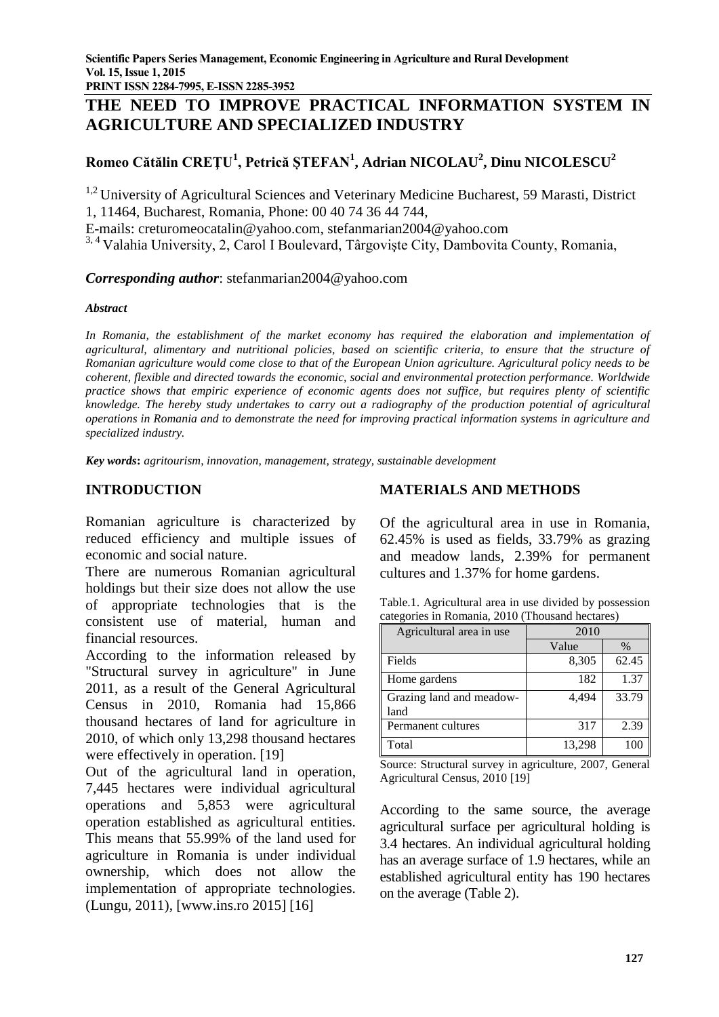**PRINT ISSN 2284-7995, E-ISSN 2285-3952** 

# **THE NEED TO IMPROVE PRACTICAL INFORMATION SYSTEM IN AGRICULTURE AND SPECIALIZED INDUSTRY**

## **Romeo Cătălin CREŢU<sup>1</sup> , Petrică ȘTEFAN<sup>1</sup> , Adrian NICOLAU<sup>2</sup> , Dinu NICOLESCU<sup>2</sup>**

<sup>1,2</sup> University of Agricultural Sciences and Veterinary Medicine Bucharest, 59 Marasti, District 1, 11464, Bucharest, Romania, Phone: 00 40 74 36 44 744,

E-mails: [creturomeocatalin@yahoo.com,](mailto:creturomeocatalin@yahoo.com) [stefanmarian2004@yahoo.com](mailto:stefanmarian2004@yahoo.com)

<sup>3, 4</sup> Valahia University, 2, Carol I Boulevard, Târgoviște City, Dambovita County, Romania,

#### *Corresponding author*: stefanmarian2004@yahoo.com

#### *Abstract*

In Romania, the establishment of the market economy has required the elaboration and implementation of *agricultural, alimentary and nutritional policies, based on scientific criteria, to ensure that the structure of Romanian agriculture would come close to that of the European Union agriculture. Agricultural policy needs to be coherent, flexible and directed towards the economic, social and environmental protection performance. Worldwide practice shows that empiric experience of economic agents does not suffice, but requires plenty of scientific knowledge. The hereby study undertakes to carry out a radiography of the production potential of agricultural operations in Romania and to demonstrate the need for improving practical information systems in agriculture and specialized industry.*

*Key words***:** *agritourism, innovation, management, strategy, sustainable development*

#### **INTRODUCTION**

Romanian agriculture is characterized by reduced efficiency and multiple issues of economic and social nature.

There are numerous Romanian agricultural holdings but their size does not allow the use of appropriate technologies that is the consistent use of material, human and financial resources.

According to the information released by "Structural survey in agriculture" in June 2011, as a result of the General Agricultural Census in 2010, Romania had 15,866 thousand hectares of land for agriculture in 2010, of which only 13,298 thousand hectares were effectively in operation. [19]

Out of the agricultural land in operation, 7,445 hectares were individual agricultural operations and 5,853 were agricultural operation established as agricultural entities. This means that 55.99% of the land used for agriculture in Romania is under individual ownership, which does not allow the implementation of appropriate technologies. (Lungu, 2011), [www.ins.ro 2015] [16]

## **MATERIALS AND METHODS**

Of the agricultural area in use in Romania, 62.45% is used as fields, 33.79% as grazing and meadow lands, 2.39% for permanent cultures and 1.37% for home gardens.

| Table.1. Agricultural area in use divided by possession |
|---------------------------------------------------------|
| categories in Romania, 2010 (Thousand hectares)         |

| Agricultural area in use         | 2010   |       |
|----------------------------------|--------|-------|
|                                  | Value  | $\%$  |
| Fields                           | 8,305  | 62.45 |
| Home gardens                     | 182    | 1.37  |
| Grazing land and meadow-<br>land | 4.494  | 33.79 |
| Permanent cultures               | 317    | 2.39  |
| Total                            | 13,298 |       |

Source: Structural survey in agriculture, 2007, General Agricultural Census, 2010 [19]

According to the same source, the average agricultural surface per agricultural holding is 3.4 hectares. An individual agricultural holding has an average surface of 1.9 hectares, while an established agricultural entity has 190 hectares on the average (Table 2).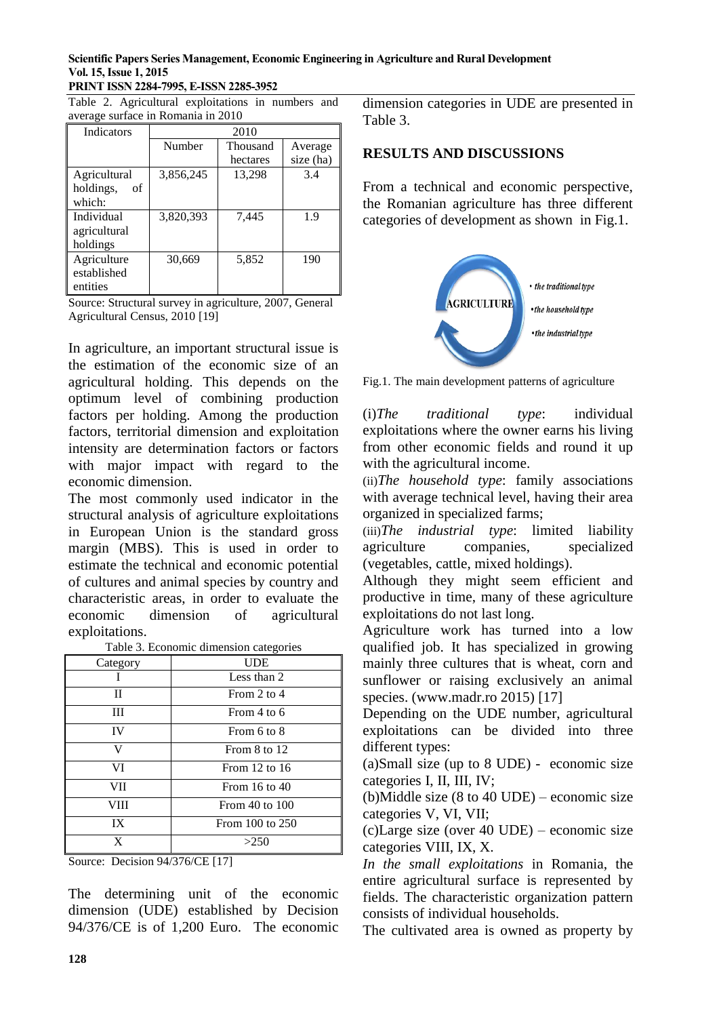#### **PRINT ISSN 2284-7995, E-ISSN 2285-3952**

|                                    |  | Table 2. Agricultural exploitations in numbers and |  |  |  |
|------------------------------------|--|----------------------------------------------------|--|--|--|
| average surface in Romania in 2010 |  |                                                    |  |  |  |

| <b>Indicators</b> | 2010      |          |           |
|-------------------|-----------|----------|-----------|
|                   | Number    | Thousand | Average   |
|                   |           | hectares | size (ha) |
| Agricultural      | 3,856,245 | 13,298   | 3.4       |
| holdings,<br>of   |           |          |           |
| which:            |           |          |           |
| Individual        | 3,820,393 | 7,445    | 1.9       |
| agricultural      |           |          |           |
| holdings          |           |          |           |
| Agriculture       | 30,669    | 5,852    | 190       |
| established       |           |          |           |
| entities          |           |          |           |

Source: Structural survey in agriculture, 2007, General Agricultural Census, 2010 [19]

In agriculture, an important structural issue is the estimation of the economic size of an agricultural holding. This depends on the optimum level of combining production factors per holding. Among the production factors, territorial dimension and exploitation intensity are determination factors or factors with major impact with regard to the economic dimension.

The most commonly used indicator in the structural analysis of agriculture exploitations in European Union is the standard gross margin (MBS). This is used in order to estimate the technical and economic potential of cultures and animal species by country and characteristic areas, in order to evaluate the economic dimension of agricultural exploitations.

Table 3. Economic dimension categories

| Category | <b>UDE</b>        |
|----------|-------------------|
|          | Less than 2       |
| П        | From 2 to 4       |
| Ш        | From 4 to 6       |
| IV       | From 6 to 8       |
| V        | From 8 to 12      |
| VI       | From $12$ to $16$ |
| VII      | From $16$ to $40$ |
| VIII     | From 40 to 100    |
| IX       | From 100 to 250   |
| X        | >250              |

Source: Decision 94/376/CE [17]

The determining unit of the economic dimension (UDE) established by Decision 94/376/CE is of 1,200 Euro. The economic dimension categories in UDE are presented in Table 3.

## **RESULTS AND DISCUSSIONS**

From a technical and economic perspective, the Romanian agriculture has three different categories of development as shown in Fig.1.



Fig.1. The main development patterns of agriculture

(i)*The traditional type*: individual exploitations where the owner earns his living from other economic fields and round it up with the agricultural income.

(ii)*The household type*: family associations with average technical level, having their area organized in specialized farms;

(iii)*The industrial type*: limited liability agriculture companies, specialized (vegetables, cattle, mixed holdings).

Although they might seem efficient and productive in time, many of these agriculture exploitations do not last long.

Agriculture work has turned into a low qualified job. It has specialized in growing mainly three cultures that is wheat, corn and sunflower or raising exclusively an animal species. (www.madr.ro 2015) [17]

Depending on the UDE number, agricultural exploitations can be divided into three different types:

(a)Small size (up to 8 UDE) - economic size categories I, II, III, IV;

(b)Middle size (8 to 40 UDE) – economic size categories V, VI, VII;

(c)Large size (over 40 UDE) – economic size categories VIII, IX, X.

*In the small exploitations* in Romania, the entire agricultural surface is represented by fields. The characteristic organization pattern consists of individual households.

The cultivated area is owned as property by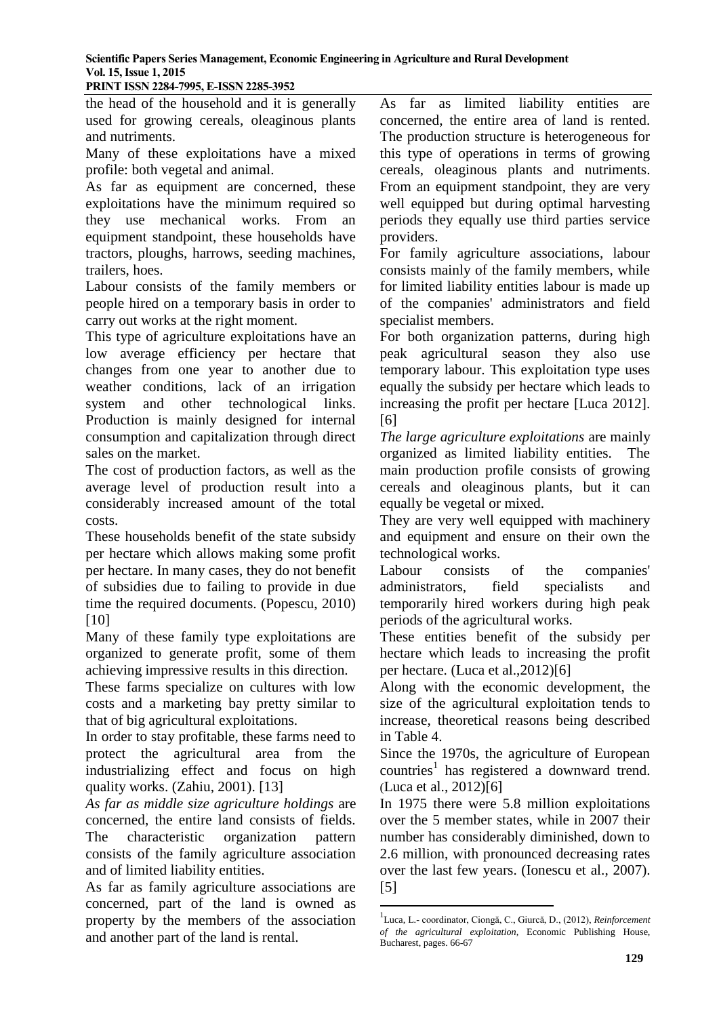**PRINT ISSN 2284-7995, E-ISSN 2285-3952** 

the head of the household and it is generally used for growing cereals, oleaginous plants and nutriments.

Many of these exploitations have a mixed profile: both vegetal and animal.

As far as equipment are concerned, these exploitations have the minimum required so they use mechanical works. From an equipment standpoint, these households have tractors, ploughs, harrows, seeding machines, trailers, hoes.

Labour consists of the family members or people hired on a temporary basis in order to carry out works at the right moment.

This type of agriculture exploitations have an low average efficiency per hectare that changes from one year to another due to weather conditions, lack of an irrigation system and other technological links. Production is mainly designed for internal consumption and capitalization through direct sales on the market.

The cost of production factors, as well as the average level of production result into a considerably increased amount of the total costs.

These households benefit of the state subsidy per hectare which allows making some profit per hectare. In many cases, they do not benefit of subsidies due to failing to provide in due time the required documents. (Popescu, 2010) [10]

Many of these family type exploitations are organized to generate profit, some of them achieving impressive results in this direction.

These farms specialize on cultures with low costs and a marketing bay pretty similar to that of big agricultural exploitations.

In order to stay profitable, these farms need to protect the agricultural area from the industrializing effect and focus on high quality works. (Zahiu, 2001). [13]

*As far as middle size agriculture holdings* are concerned, the entire land consists of fields. The characteristic organization pattern consists of the family agriculture association and of limited liability entities.

As far as family agriculture associations are concerned, part of the land is owned as property by the members of the association and another part of the land is rental.

As far as limited liability entities are concerned, the entire area of land is rented. The production structure is heterogeneous for this type of operations in terms of growing cereals, oleaginous plants and nutriments. From an equipment standpoint, they are very well equipped but during optimal harvesting periods they equally use third parties service providers.

For family agriculture associations, labour consists mainly of the family members, while for limited liability entities labour is made up of the companies' administrators and field specialist members.

For both organization patterns, during high peak agricultural season they also use temporary labour. This exploitation type uses equally the subsidy per hectare which leads to increasing the profit per hectare [Luca 2012]. [6]

*The large agriculture exploitations* are mainly organized as limited liability entities. The main production profile consists of growing cereals and oleaginous plants, but it can equally be vegetal or mixed.

They are very well equipped with machinery and equipment and ensure on their own the technological works.

Labour consists of the companies' administrators, field specialists and temporarily hired workers during high peak periods of the agricultural works.

These entities benefit of the subsidy per hectare which leads to increasing the profit per hectare. (Luca et al.,2012)[6]

Along with the economic development, the size of the agricultural exploitation tends to increase, theoretical reasons being described in Table 4.

Since the 1970s, the agriculture of European countries<sup>1</sup> has registered a downward trend. (Luca et al., 2012)[6]

In 1975 there were 5.8 million exploitations over the 5 member states, while in 2007 their number has considerably diminished, down to 2.6 million, with pronounced decreasing rates over the last few years. (Ionescu et al., 2007). [5]

1

<sup>1</sup> Luca, L.- coordinator, Ciongă, C., Giurcă, D., (2012), *Reinforcement of the agricultural exploitation,* Economic Publishing House, Bucharest, pages. 66-67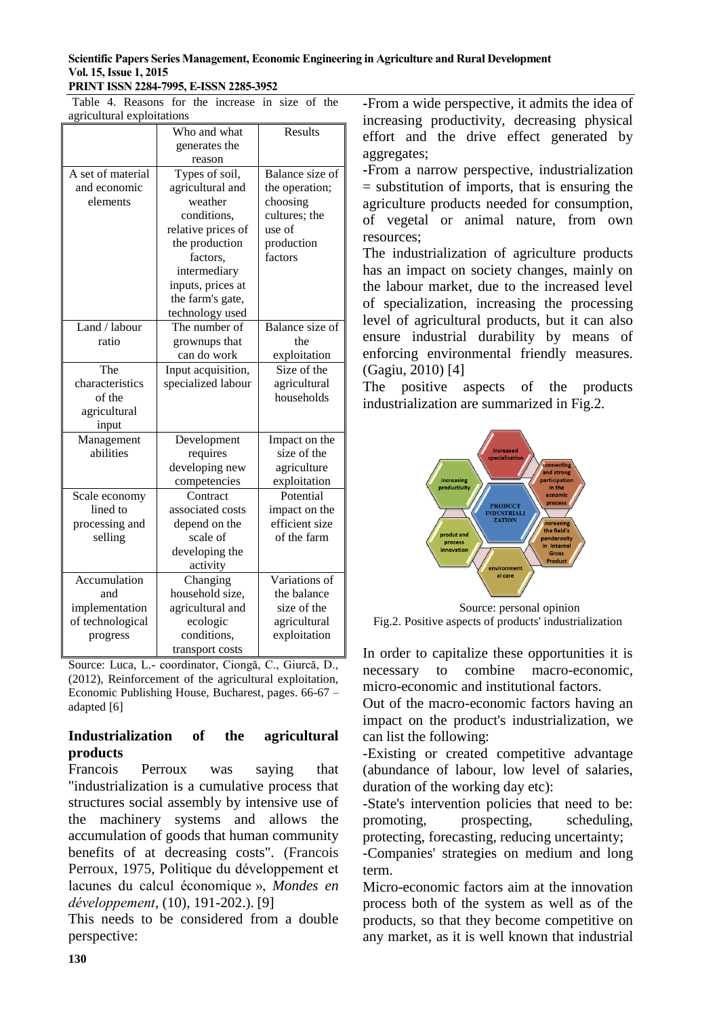Table 4. Reasons for the increase in size of the agricultural exploitations

|                   | Who and what       | Results         |
|-------------------|--------------------|-----------------|
|                   | generates the      |                 |
|                   | reason             |                 |
| A set of material | Types of soil,     | Balance size of |
| and economic      | agricultural and   | the operation;  |
| elements          | weather            | choosing        |
|                   | conditions,        | cultures; the   |
|                   | relative prices of | use of          |
|                   | the production     | production      |
|                   | factors,           | factors         |
|                   | intermediary       |                 |
|                   | inputs, prices at  |                 |
|                   | the farm's gate,   |                 |
|                   | technology used    |                 |
| Land / labour     | The number of      | Balance size of |
| ratio             | grownups that      | the             |
|                   | can do work        | exploitation    |
| The               | Input acquisition, | Size of the     |
| characteristics   | specialized labour | agricultural    |
| of the            |                    | households      |
| agricultural      |                    |                 |
| input             |                    |                 |
| Management        | Development        | Impact on the   |
| abilities         | requires           | size of the     |
|                   | developing new     | agriculture     |
|                   | competencies       | exploitation    |
| Scale economy     | Contract           | Potential       |
| lined to          | associated costs   | impact on the   |
| processing and    | depend on the      | efficient size  |
| selling           | scale of           | of the farm     |
|                   | developing the     |                 |
|                   | activity           |                 |
| Accumulation      | Changing           | Variations of   |
| and               | household size,    | the balance     |
| implementation    | agricultural and   | size of the     |
| of technological  | ecologic           | agricultural    |
| progress          | conditions,        | exploitation    |
|                   | transport costs    |                 |

Source: Luca, L.- coordinator, Ciongă, C., Giurcă, D., (2012), Reinforcement of the agricultural exploitation, Economic Publishing House, Bucharest, pages. 66-67 – adapted [6]

## **Industrialization of the agricultural products**

Francois Perroux was saying that "industrialization is a cumulative process that structures social assembly by intensive use of the machinery systems and allows the accumulation of goods that human community benefits of at decreasing costs". (Francois Perroux, 1975, Politique du développement et lacunes du calcul économique », *Mondes en développement*, (10), 191-202.). [9]

This needs to be considered from a double perspective:

**-**From a wide perspective, it admits the idea of increasing productivity, decreasing physical effort and the drive effect generated by aggregates;

**-**From a narrow perspective, industrialization = substitution of imports, that is ensuring the agriculture products needed for consumption, of vegetal or animal nature, from own resources;

The industrialization of agriculture products has an impact on society changes, mainly on the labour market, due to the increased level of specialization, increasing the processing level of agricultural products, but it can also ensure industrial durability by means of enforcing environmental friendly measures. (Gagiu, 2010) [4]

The positive aspects of the products industrialization are summarized in Fig.2.



Source: personal opinion Fig.2. Positive aspects of products' industrialization

In order to capitalize these opportunities it is necessary to combine macro-economic, micro-economic and institutional factors.

Out of the macro-economic factors having an impact on the product's industrialization, we can list the following:

-Existing or created competitive advantage (abundance of labour, low level of salaries, duration of the working day etc):

-State's intervention policies that need to be: promoting, prospecting, scheduling, protecting, forecasting, reducing uncertainty;

-Companies' strategies on medium and long term.

Micro-economic factors aim at the innovation process both of the system as well as of the products, so that they become competitive on any market, as it is well known that industrial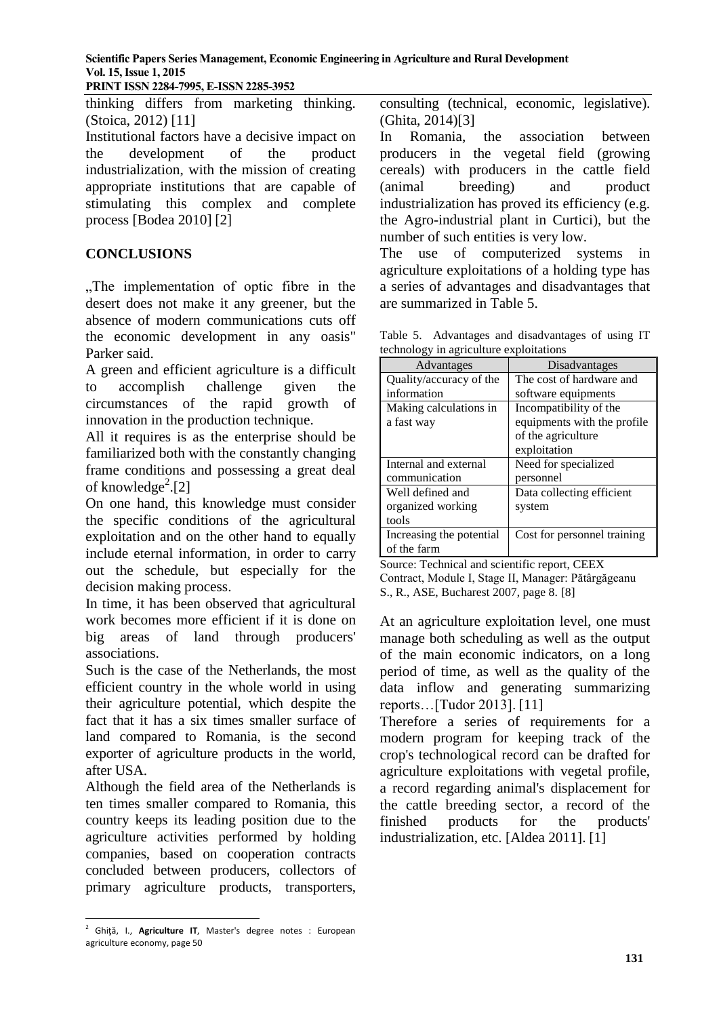**PRINT ISSN 2284-7995, E-ISSN 2285-3952** 

thinking differs from marketing thinking. (Stoica, 2012) [11]

Institutional factors have a decisive impact on the development of the product industrialization, with the mission of creating appropriate institutions that are capable of stimulating this complex and complete process [Bodea 2010] [2]

## **CONCLUSIONS**

..The implementation of optic fibre in the desert does not make it any greener, but the absence of modern communications cuts off the economic development in any oasis" Parker said.

A green and efficient agriculture is a difficult to accomplish challenge given the circumstances of the rapid growth of innovation in the production technique.

All it requires is as the enterprise should be familiarized both with the constantly changing frame conditions and possessing a great deal of knowledge<sup>2</sup>.[2]

On one hand, this knowledge must consider the specific conditions of the agricultural exploitation and on the other hand to equally include eternal information, in order to carry out the schedule, but especially for the decision making process.

In time, it has been observed that agricultural work becomes more efficient if it is done on big areas of land through producers' associations.

Such is the case of the Netherlands, the most efficient country in the whole world in using their agriculture potential, which despite the fact that it has a six times smaller surface of land compared to Romania, is the second exporter of agriculture products in the world, after USA.

Although the field area of the Netherlands is ten times smaller compared to Romania, this country keeps its leading position due to the agriculture activities performed by holding companies, based on cooperation contracts concluded between producers, collectors of primary agriculture products, transporters,

In Romania, the association between producers in the vegetal field (growing cereals) with producers in the cattle field (animal breeding) and product industrialization has proved its efficiency (e.g. the Agro-industrial plant in Curtici), but the number of such entities is very low.

The use of computerized systems in agriculture exploitations of a holding type has a series of advantages and disadvantages that are summarized in Table 5.

Table 5. Advantages and disadvantages of using IT technology in agriculture exploitations

| Advantages               | Disadvantages               |
|--------------------------|-----------------------------|
| Quality/accuracy of the  | The cost of hardware and    |
| information              | software equipments         |
| Making calculations in   | Incompatibility of the      |
| a fast way               | equipments with the profile |
|                          | of the agriculture          |
|                          | exploitation                |
| Internal and external    | Need for specialized        |
| communication            | personnel                   |
| Well defined and         | Data collecting efficient   |
| organized working        | system                      |
| tools                    |                             |
| Increasing the potential | Cost for personnel training |
| of the farm              |                             |

Source: Technical and scientific report, CEEX Contract, Module I, Stage II, Manager: Pătârgăgeanu S., R., ASE, Bucharest 2007, page 8. [8]

At an agriculture exploitation level, one must manage both scheduling as well as the output of the main economic indicators, on a long period of time, as well as the quality of the data inflow and generating summarizing reports…[Tudor 2013]. [11]

Therefore a series of requirements for a modern program for keeping track of the crop's technological record can be drafted for agriculture exploitations with vegetal profile, a record regarding animal's displacement for the cattle breeding sector, a record of the finished products for the products' industrialization, etc. [Aldea 2011]. [1]

consulting (technical, economic, legislative). (Ghita, 2014)[3]

 2 Ghiţă, I., **Agriculture IT**, Master's degree notes : European agriculture economy, page 50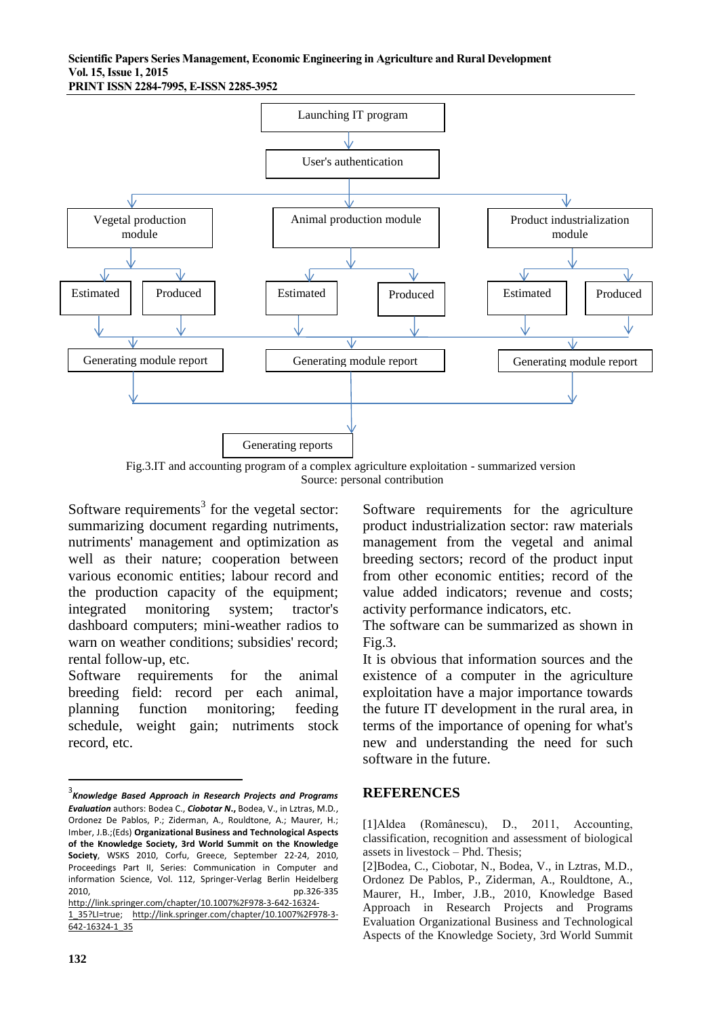**PRINT ISSN 2284-7995, E-ISSN 2285-3952** 



Fig.3.IT and accounting program of a complex agriculture exploitation - summarized version Source: personal contribution

Software requirements<sup>3</sup> for the vegetal sector: summarizing document regarding nutriments, nutriments' management and optimization as well as their nature; cooperation between various economic entities; labour record and the production capacity of the equipment; integrated monitoring system; tractor's dashboard computers; mini-weather radios to warn on weather conditions; subsidies' record; rental follow-up, etc.

Software requirements for the animal breeding field: record per each animal, planning function monitoring; feeding schedule, weight gain; nutriments stock record, etc.

[1\\_35?LI=true;](http://link.springer.com/chapter/10.1007%2F978-3-642-16324-1_35?LI=true) [http://link.springer.com/chapter/10.1007%2F978-3-](http://link.springer.com/chapter/10.1007%2F978-3-642-16324-1_35) [642-16324-1\\_35](http://link.springer.com/chapter/10.1007%2F978-3-642-16324-1_35)

**132**

**.** 

Software requirements for the agriculture product industrialization sector: raw materials management from the vegetal and animal breeding sectors; record of the product input from other economic entities; record of the value added indicators; revenue and costs; activity performance indicators, etc.

The software can be summarized as shown in Fig.3.

It is obvious that information sources and the existence of a computer in the agriculture exploitation have a major importance towards the future IT development in the rural area, in terms of the importance of opening for what's new and understanding the need for such software in the future.

#### **REFERENCES**

<sup>3</sup> *Knowledge Based Approach in Research Projects and Programs Evaluation* authors: Bodea C., *Ciobotar N***.,** Bodea, V., in Lztras, M.D*.*, Ordonez De Pablos, P.; Ziderman, A., Rouldtone, A.; Maurer, H.; Imber, J.B.;(Eds) **Organizational Business and Technological Aspects of the Knowledge Society, 3rd World Summit on the Knowledge Society**, WSKS 2010, Corfu, Greece, September 22-24, 2010, Proceedings Part II, Series: Communication in Computer and information Science, Vol. 112, Springer-Verlag Berlin Heidelberg 2010, pp.326-335 [http://link.springer.com/chapter/10.1007%2F978-3-642-16324-](http://link.springer.com/chapter/10.1007%2F978-3-642-16324-1_35?LI=true)

<sup>[1]</sup>Aldea (Românescu), D., 2011, Accounting, classification, recognition and assessment of biological assets in livestock – Phd. Thesis;

<sup>[2]</sup>Bodea, C., Ciobotar, N., Bodea, V., in Lztras, M.D., Ordonez De Pablos, P., Ziderman, A., Rouldtone, A., Maurer, H., Imber, J.B., 2010, Knowledge Based Approach in Research Projects and Programs Evaluation Organizational Business and Technological Aspects of the Knowledge Society, 3rd World Summit